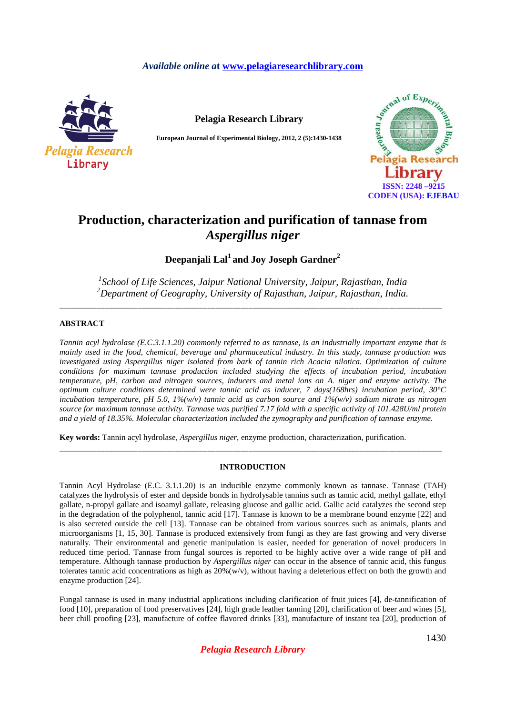## *Available online a***t www.pelagiaresearchlibrary.com**



**Pelagia Research Library** 

**European Journal of Experimental Biology, 2012, 2 (5):1430-1438** 



# **Production, characterization and purification of tannase from**  *Aspergillus niger*

**Deepanjali Lal<sup>1</sup>and Joy Joseph Gardner<sup>2</sup>**

*1 School of Life Sciences, Jaipur National University, Jaipur, Rajasthan, India <sup>2</sup>Department of Geography, University of Rajasthan, Jaipur, Rajasthan, India.*  \_\_\_\_\_\_\_\_\_\_\_\_\_\_\_\_\_\_\_\_\_\_\_\_\_\_\_\_\_\_\_\_\_\_\_\_\_\_\_\_\_\_\_\_\_\_\_\_\_\_\_\_\_\_\_\_\_\_\_\_\_\_\_\_\_\_\_\_\_\_\_\_\_\_\_\_\_\_\_\_\_\_\_\_\_\_\_\_\_\_\_\_\_

## **ABSTRACT**

*Tannin acyl hydrolase (E.C.3.1.1.20) commonly referred to as tannase, is an industrially important enzyme that is mainly used in the food, chemical, beverage and pharmaceutical industry. In this study, tannase production was investigated using Aspergillus niger isolated from bark of tannin rich Acacia nilotica. Optimization of culture conditions for maximum tannase production included studying the effects of incubation period, incubation temperature, pH, carbon and nitrogen sources, inducers and metal ions on A. niger and enzyme activity. The optimum culture conditions determined were tannic acid as inducer, 7 days(168hrs) incubation period, 30°C incubation temperature, pH 5.0, 1%(w/v) tannic acid as carbon source and 1%(w/v) sodium nitrate as nitrogen source for maximum tannase activity. Tannase was purified 7.17 fold with a specific activity of 101.428U/ml protein and a yield of 18.35%. Molecular characterization included the zymography and purification of tannase enzyme.* 

**Key words:** Tannin acyl hydrolase, *Aspergillus niger*, enzyme production, characterization, purification.

## **INTRODUCTION**

\_\_\_\_\_\_\_\_\_\_\_\_\_\_\_\_\_\_\_\_\_\_\_\_\_\_\_\_\_\_\_\_\_\_\_\_\_\_\_\_\_\_\_\_\_\_\_\_\_\_\_\_\_\_\_\_\_\_\_\_\_\_\_\_\_\_\_\_\_\_\_\_\_\_\_\_\_\_\_\_\_\_\_\_\_\_\_\_\_\_\_\_\_

Tannin Acyl Hydrolase (E.C. 3.1.1.20) is an inducible enzyme commonly known as tannase. Tannase (TAH) catalyzes the hydrolysis of ester and depside bonds in hydrolysable tannins such as tannic acid, methyl gallate, ethyl gallate, n-propyl gallate and isoamyl gallate, releasing glucose and gallic acid. Gallic acid catalyzes the second step in the degradation of the polyphenol, tannic acid [17]. Tannase is known to be a membrane bound enzyme [22] and is also secreted outside the cell [13]. Tannase can be obtained from various sources such as animals, plants and microorganisms [1, 15, 30]. Tannase is produced extensively from fungi as they are fast growing and very diverse naturally. Their environmental and genetic manipulation is easier, needed for generation of novel producers in reduced time period. Tannase from fungal sources is reported to be highly active over a wide range of pH and temperature. Although tannase production by *Aspergillus niger* can occur in the absence of tannic acid, this fungus tolerates tannic acid concentrations as high as  $20\%(w/v)$ , without having a deleterious effect on both the growth and enzyme production [24].

Fungal tannase is used in many industrial applications including clarification of fruit juices [4], de-tannification of food [10], preparation of food preservatives [24], high grade leather tanning [20], clarification of beer and wines [5], beer chill proofing [23], manufacture of coffee flavored drinks [33], manufacture of instant tea [20], production of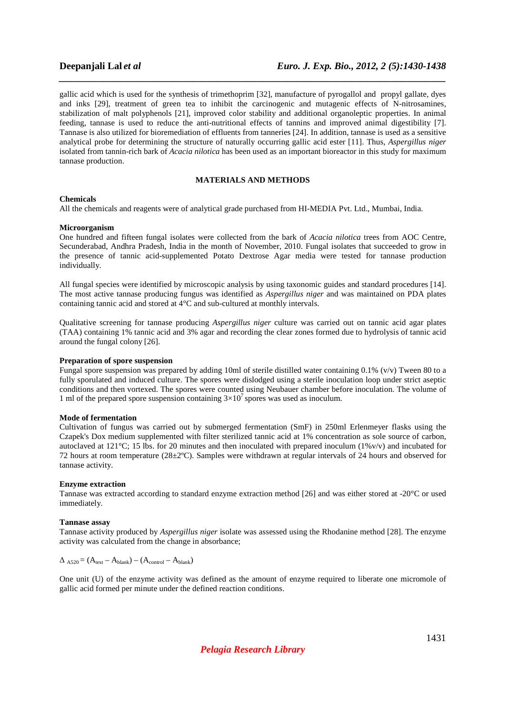gallic acid which is used for the synthesis of trimethoprim [32], manufacture of pyrogallol and propyl gallate, dyes and inks [29], treatment of green tea to inhibit the carcinogenic and mutagenic effects of N-nitrosamines, stabilization of malt polyphenols [21], improved color stability and additional organoleptic properties. In animal feeding, tannase is used to reduce the anti-nutritional effects of tannins and improved animal digestibility [7]. Tannase is also utilized for bioremediation of effluents from tanneries [24]. In addition, tannase is used as a sensitive analytical probe for determining the structure of naturally occurring gallic acid ester [11]. Thus, *Aspergillus niger*  isolated from tannin-rich bark of *Acacia nilotica* has been used as an important bioreactor in this study for maximum tannase production.

*\_\_\_\_\_\_\_\_\_\_\_\_\_\_\_\_\_\_\_\_\_\_\_\_\_\_\_\_\_\_\_\_\_\_\_\_\_\_\_\_\_\_\_\_\_\_\_\_\_\_\_\_\_\_\_\_\_\_\_\_\_\_\_\_\_\_\_\_\_\_\_\_\_\_\_\_\_\_*

## **MATERIALS AND METHODS**

## **Chemicals**

All the chemicals and reagents were of analytical grade purchased from HI-MEDIA Pvt. Ltd., Mumbai, India.

### **Microorganism**

One hundred and fifteen fungal isolates were collected from the bark of *Acacia nilotica* trees from AOC Centre, Secunderabad, Andhra Pradesh, India in the month of November, 2010. Fungal isolates that succeeded to grow in the presence of tannic acid-supplemented Potato Dextrose Agar media were tested for tannase production individually.

All fungal species were identified by microscopic analysis by using taxonomic guides and standard procedures [14]. The most active tannase producing fungus was identified as *Aspergillus niger* and was maintained on PDA plates containing tannic acid and stored at 4°C and sub-cultured at monthly intervals.

Qualitative screening for tannase producing *Aspergillus niger* culture was carried out on tannic acid agar plates (TAA) containing 1% tannic acid and 3% agar and recording the clear zones formed due to hydrolysis of tannic acid around the fungal colony [26].

### **Preparation of spore suspension**

Fungal spore suspension was prepared by adding 10ml of sterile distilled water containing 0.1% (v/v) Tween 80 to a fully sporulated and induced culture. The spores were dislodged using a sterile inoculation loop under strict aseptic conditions and then vortexed. The spores were counted using Neubauer chamber before inoculation. The volume of 1 ml of the prepared spore suspension containing  $3\times10^7$  spores was used as inoculum.

## **Mode of fermentation**

Cultivation of fungus was carried out by submerged fermentation (SmF) in 250ml Erlenmeyer flasks using the Czapek's Dox medium supplemented with filter sterilized tannic acid at 1% concentration as sole source of carbon, autoclaved at  $121^{\circ}$ C; 15 lbs. for 20 minutes and then inoculated with prepared inoculum (1%v/v) and incubated for 72 hours at room temperature (28±2ºC). Samples were withdrawn at regular intervals of 24 hours and observed for tannase activity.

## **Enzyme extraction**

Tannase was extracted according to standard enzyme extraction method [26] and was either stored at -20°C or used immediately.

## **Tannase assay**

Tannase activity produced by *Aspergillus niger* isolate was assessed using the Rhodanine method [28]. The enzyme activity was calculated from the change in absorbance;

$$
\Delta_{A520} = (A_{test} - A_{blank}) - (A_{control} - A_{blank})
$$

One unit (U) of the enzyme activity was defined as the amount of enzyme required to liberate one micromole of gallic acid formed per minute under the defined reaction conditions.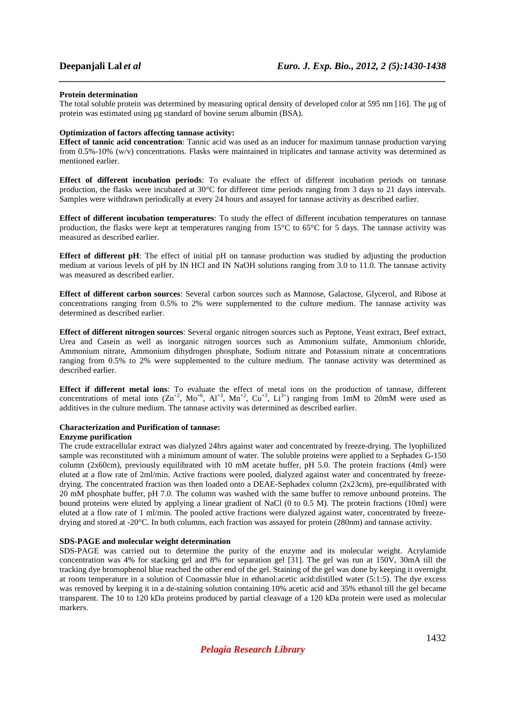## **Protein determination**

The total soluble protein was determined by measuring optical density of developed color at 595 nm [16]. The µg of protein was estimated using µg standard of bovine serum albumin (BSA).

*\_\_\_\_\_\_\_\_\_\_\_\_\_\_\_\_\_\_\_\_\_\_\_\_\_\_\_\_\_\_\_\_\_\_\_\_\_\_\_\_\_\_\_\_\_\_\_\_\_\_\_\_\_\_\_\_\_\_\_\_\_\_\_\_\_\_\_\_\_\_\_\_\_\_\_\_\_\_*

## **Optimization of factors affecting tannase activity:**

**Effect of tannic acid concentration**: Tannic acid was used as an inducer for maximum tannase production varying from 0.5%-10% (w/v) concentrations. Flasks were maintained in triplicates and tannase activity was determined as mentioned earlier.

**Effect of different incubation periods**: To evaluate the effect of different incubation periods on tannase production, the flasks were incubated at 30°C for different time periods ranging from 3 days to 21 days intervals. Samples were withdrawn periodically at every 24 hours and assayed for tannase activity as described earlier.

**Effect of different incubation temperatures**: To study the effect of different incubation temperatures on tannase production, the flasks were kept at temperatures ranging from 15°C to 65°C for 5 days. The tannase activity was measured as described earlier.

**Effect of different pH**: The effect of initial pH on tannase production was studied by adjusting the production medium at various levels of pH by IN HCl and IN NaOH solutions ranging from 3.0 to 11.0. The tannase activity was measured as described earlier.

**Effect of different carbon sources**: Several carbon sources such as Mannose, Galactose, Glycerol, and Ribose at concentrations ranging from 0.5% to 2% were supplemented to the culture medium. The tannase activity was determined as described earlier.

**Effect of different nitrogen sources**: Several organic nitrogen sources such as Peptone, Yeast extract, Beef extract, Urea and Casein as well as inorganic nitrogen sources such as Ammonium sulfate, Ammonium chloride, Ammonium nitrate, Ammonium dihydrogen phosphate, Sodium nitrate and Potassium nitrate at concentrations ranging from 0.5% to 2% were supplemented to the culture medium. The tannase activity was determined as described earlier.

**Effect if different metal ions**: To evaluate the effect of metal ions on the production of tannase, different concentrations of metal ions  $(Zn^{+2}$ ,  $Mo^{+6}$ ,  $Al^{+3}$ ,  $Mn^{+2}$ ,  $Cu^{+3}$ ,  $Li^{3+}$ ) ranging from 1mM to 20mM were used as additives in the culture medium. The tannase activity was determined as described earlier.

## **Characterization and Purification of tannase:**

## **Enzyme purification**

The crude extracellular extract was dialyzed 24hrs against water and concentrated by freeze-drying. The lyophilized sample was reconstituted with a minimum amount of water. The soluble proteins were applied to a Sephadex G-150 column (2x60cm), previously equilibrated with 10 mM acetate buffer, pH 5.0. The protein fractions (4ml) were eluted at a flow rate of 2ml/min. Active fractions were pooled, dialyzed against water and concentrated by freezedrying. The concentrated fraction was then loaded onto a DEAE-Sephadex column (2x23cm), pre-equilibrated with 20 mM phosphate buffer, pH 7.0. The column was washed with the same buffer to remove unbound proteins. The bound proteins were eluted by applying a linear gradient of NaCl (0 to 0.5 M). The protein fractions (10ml) were eluted at a flow rate of 1 ml/min. The pooled active fractions were dialyzed against water, concentrated by freezedrying and stored at -20°C. In both columns, each fraction was assayed for protein (280nm) and tannase activity.

## **SDS-PAGE and molecular weight determination**

SDS-PAGE was carried out to determine the purity of the enzyme and its molecular weight. Acrylamide concentration was 4% for stacking gel and 8% for separation gel [31]. The gel was run at 150V, 30mA till the tracking dye bromophenol blue reached the other end of the gel. Staining of the gel was done by keeping it overnight at room temperature in a solution of Coomassie blue in ethanol:acetic acid:distilled water (5:1:5). The dye excess was removed by keeping it in a de-staining solution containing 10% acetic acid and 35% ethanol till the gel became transparent. The 10 to 120 kDa proteins produced by partial cleavage of a 120 kDa protein were used as molecular markers.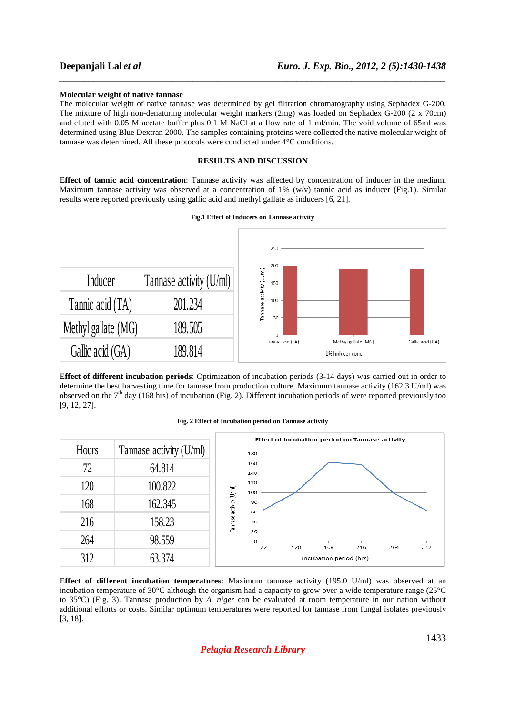## **Molecular weight of native tannase**

The molecular weight of native tannase was determined by gel filtration chromatography using Sephadex G-200. The mixture of high non-denaturing molecular weight markers (2mg) was loaded on Sephadex G-200 (2 x 70cm) and eluted with 0.05 M acetate buffer plus 0.1 M NaCl at a flow rate of 1 ml/min. The void volume of 65ml was determined using Blue Dextran 2000. The samples containing proteins were collected the native molecular weight of tannase was determined. All these protocols were conducted under 4°C conditions.

*\_\_\_\_\_\_\_\_\_\_\_\_\_\_\_\_\_\_\_\_\_\_\_\_\_\_\_\_\_\_\_\_\_\_\_\_\_\_\_\_\_\_\_\_\_\_\_\_\_\_\_\_\_\_\_\_\_\_\_\_\_\_\_\_\_\_\_\_\_\_\_\_\_\_\_\_\_\_*

## **RESULTS AND DISCUSSION**

**Effect of tannic acid concentration**: Tannase activity was affected by concentration of inducer in the medium. Maximum tannase activity was observed at a concentration of 1%  $(w/v)$  tannic acid as inducer (Fig.1). Similar results were reported previously using gallic acid and methyl gallate as inducers [6, 21].

## **Fig.1 Effect of Inducers on Tannase activity**



**Effect of different incubation periods**: Optimization of incubation periods (3-14 days) was carried out in order to determine the best harvesting time for tannase from production culture. Maximum tannase activity (162.3 U/ml) was observed on the  $7<sup>th</sup>$  day (168 hrs) of incubation (Fig. 2). Different incubation periods of were reported previously too [9, 12, 27].

#### **Fig. 2 Effect of Incubation period on Tannase activity**



**Effect of different incubation temperatures**: Maximum tannase activity (195.0 U/ml) was observed at an incubation temperature of 30°C although the organism had a capacity to grow over a wide temperature range (25°C to 35°C) (Fig. 3). Tannase production by *A. niger* can be evaluated at room temperature in our nation without additional efforts or costs. Similar optimum temperatures were reported for tannase from fungal isolates previously [3, 18**]**.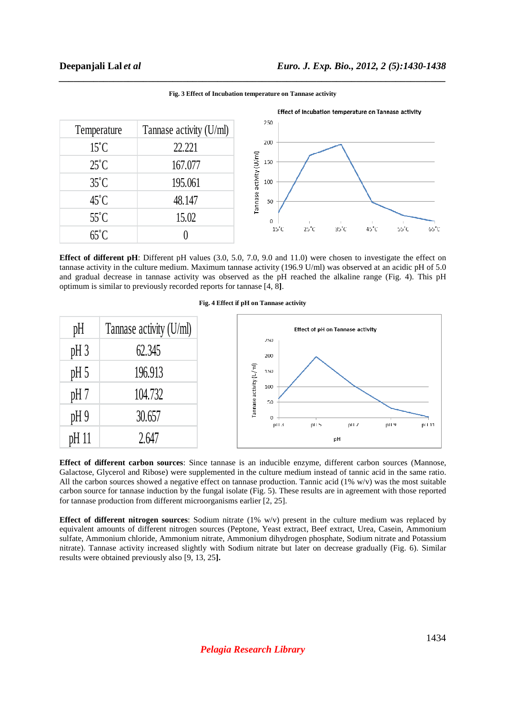|                |                         | Effect of Incubation temperature on Tannase activity                                                     |  |  |
|----------------|-------------------------|----------------------------------------------------------------------------------------------------------|--|--|
| Temperature    | Tannase activity (U/ml) | 250                                                                                                      |  |  |
| $15^{\circ}$ C | 22.221                  | 200                                                                                                      |  |  |
| $25^{\circ}$ C | 167.077                 | Tannase activity (U/ml)<br>150                                                                           |  |  |
| $35^{\circ}$ C | 195.061                 | 100                                                                                                      |  |  |
| $45^{\circ}$ C | 48.147                  | 50                                                                                                       |  |  |
| $55^{\circ}$ C | 15.02                   | 0                                                                                                        |  |  |
| $65^{\circ}$ C |                         | $65^{\circ}$ C<br>$15^{\circ}$ C<br>$25^{\circ}$ C<br>$35^{\circ}$ C<br>$45^{\circ}$ C<br>$55^{\circ}$ C |  |  |

*\_\_\_\_\_\_\_\_\_\_\_\_\_\_\_\_\_\_\_\_\_\_\_\_\_\_\_\_\_\_\_\_\_\_\_\_\_\_\_\_\_\_\_\_\_\_\_\_\_\_\_\_\_\_\_\_\_\_\_\_\_\_\_\_\_\_\_\_\_\_\_\_\_\_\_\_\_\_* **Fig. 3 Effect of Incubation temperature on Tannase activity** 

**Effect of different pH**: Different pH values (3.0, 5.0, 7.0, 9.0 and 11.0) were chosen to investigate the effect on tannase activity in the culture medium. Maximum tannase activity (196.9 U/ml) was observed at an acidic pH of 5.0 and gradual decrease in tannase activity was observed as the pH reached the alkaline range (Fig. 4). This pH optimum is similar to previously recorded reports for tannase [4, 8**]**.



## **Fig. 4 Effect if pH on Tannase activity**

**Effect of different carbon sources**: Since tannase is an inducible enzyme, different carbon sources (Mannose, Galactose, Glycerol and Ribose) were supplemented in the culture medium instead of tannic acid in the same ratio. All the carbon sources showed a negative effect on tannase production. Tannic acid (1% w/v) was the most suitable carbon source for tannase induction by the fungal isolate (Fig. 5). These results are in agreement with those reported for tannase production from different microorganisms earlier [2, 25].

**Effect of different nitrogen sources**: Sodium nitrate (1% w/v) present in the culture medium was replaced by equivalent amounts of different nitrogen sources (Peptone, Yeast extract, Beef extract, Urea, Casein, Ammonium sulfate, Ammonium chloride, Ammonium nitrate, Ammonium dihydrogen phosphate, Sodium nitrate and Potassium nitrate). Tannase activity increased slightly with Sodium nitrate but later on decrease gradually (Fig. 6). Similar results were obtained previously also [9, 13, 25**].**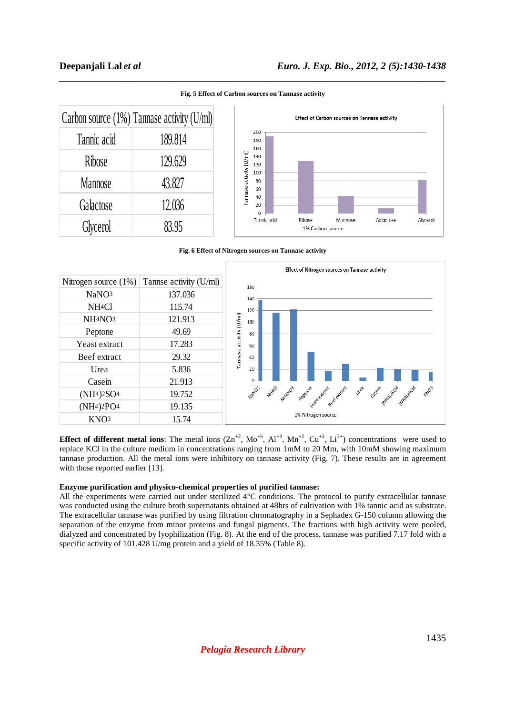|                | Carbon source $(1\%)$ Tannase activity (U/ml) |  |
|----------------|-----------------------------------------------|--|
| Tannic acid    | 189.814                                       |  |
| Ribose         | 129,629                                       |  |
| <b>Mannose</b> | 43.827                                        |  |
| Galactose      | 12.036                                        |  |
| Glycerol       | 83.95                                         |  |

*\_\_\_\_\_\_\_\_\_\_\_\_\_\_\_\_\_\_\_\_\_\_\_\_\_\_\_\_\_\_\_\_\_\_\_\_\_\_\_\_\_\_\_\_\_\_\_\_\_\_\_\_\_\_\_\_\_\_\_\_\_\_\_\_\_\_\_\_\_\_\_\_\_\_\_\_\_\_* **Fig. 5 Effect of Carbon sources on Tannase activity**

Effect of Carbon sources on Tannase activity 200 180  $160$ annase activity (U/ml)  $1.40$ 120  $100$ 80 60  $40$  $20$  $\Omega$ Galactose Ribose Mannose Givcerol Tannic acid 1% Carbon source

**Fig. 6 Effect of Nitrogen sources on Tannase activity** 



**Effect of different metal ions**: The metal ions  $(Zn^{+2}$ , Mo<sup>+6</sup>, Al<sup>+3</sup>, Mn<sup>+2</sup>, Cu<sup>+3</sup>, Li<sup>3+</sup>) concentrations were used to replace KCl in the culture medium in concentrations ranging from 1mM to 20 Mm, with 10mM showing maximum tannase production. All the metal ions were inhibitory on tannase activity (Fig. 7). These results are in agreement with those reported earlier [13].

## **Enzyme purification and physico-chemical properties of purified tannase:**

All the experiments were carried out under sterilized 4°C conditions. The protocol to purify extracellular tannase was conducted using the culture broth supernatants obtained at 48hrs of cultivation with 1% tannic acid as substrate. The extracellular tannase was purified by using filtration chromatography in a Sephadex G-150 column allowing the separation of the enzyme from minor proteins and fungal pigments. The fractions with high activity were pooled, dialyzed and concentrated by lyophilization (Fig. 8). At the end of the process, tannase was purified 7.17 fold with a specific activity of 101.428 U/mg protein and a yield of 18.35% (Table 8).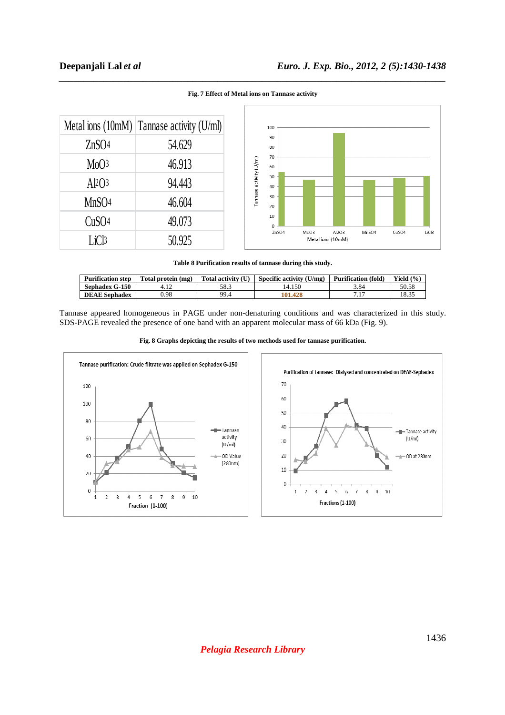

## *\_\_\_\_\_\_\_\_\_\_\_\_\_\_\_\_\_\_\_\_\_\_\_\_\_\_\_\_\_\_\_\_\_\_\_\_\_\_\_\_\_\_\_\_\_\_\_\_\_\_\_\_\_\_\_\_\_\_\_\_\_\_\_\_\_\_\_\_\_\_\_\_\_\_\_\_\_\_* **Fig. 7 Effect of Metal ions on Tannase activity**

**Table 8 Purification results of tannase during this study.** 

| <b>Purification step</b> | Total protein (mg) | Total activity (U) | Specific activity (U/mg) | <b>Purification (fold)</b> | Yield $(\%$ |
|--------------------------|--------------------|--------------------|--------------------------|----------------------------|-------------|
| <b>Sephadex G-150</b>    |                    | 58.3               | 14.150                   | 3.84                       | 50.58       |
| <b>DEAE</b> Sephadex     | ).98               | 99.4               | 101.428                  | 7.17<br>$\cdot$            | 1025        |

Tannase appeared homogeneous in PAGE under non-denaturing conditions and was characterized in this study. SDS-PAGE revealed the presence of one band with an apparent molecular mass of 66 kDa (Fig. 9).



**Fig. 8 Graphs depicting the results of two methods used for tannase purification.** 

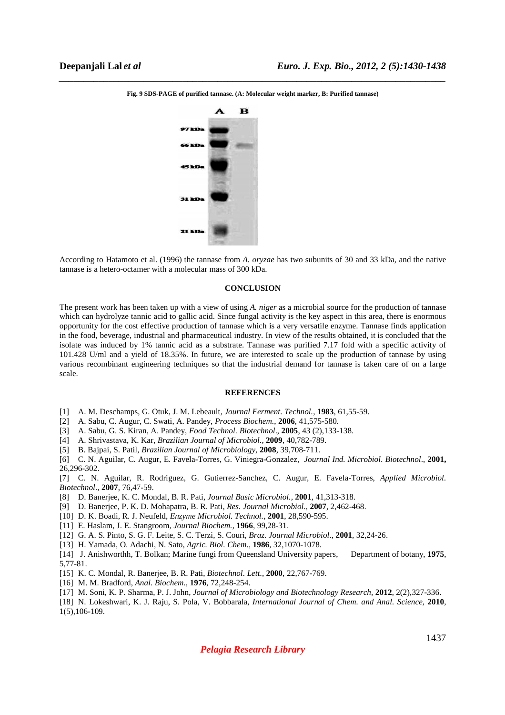

*\_\_\_\_\_\_\_\_\_\_\_\_\_\_\_\_\_\_\_\_\_\_\_\_\_\_\_\_\_\_\_\_\_\_\_\_\_\_\_\_\_\_\_\_\_\_\_\_\_\_\_\_\_\_\_\_\_\_\_\_\_\_\_\_\_\_\_\_\_\_\_\_\_\_\_\_\_\_* **Fig. 9 SDS-PAGE of purified tannase. (A: Molecular weight marker, B: Purified tannase)** 

According to Hatamoto et al. (1996) the tannase from *A. oryzae* has two subunits of 30 and 33 kDa, and the native tannase is a hetero-octamer with a molecular mass of 300 kDa.

## **CONCLUSION**

The present work has been taken up with a view of using *A. niger* as a microbial source for the production of tannase which can hydrolyze tannic acid to gallic acid. Since fungal activity is the key aspect in this area, there is enormous opportunity for the cost effective production of tannase which is a very versatile enzyme. Tannase finds application in the food, beverage, industrial and pharmaceutical industry. In view of the results obtained, it is concluded that the isolate was induced by 1% tannic acid as a substrate. Tannase was purified 7.17 fold with a specific activity of 101.428 U/ml and a yield of 18.35%. In future, we are interested to scale up the production of tannase by using various recombinant engineering techniques so that the industrial demand for tannase is taken care of on a large scale.

#### **REFERENCES**

- [1] A. M. Deschamps, G. Otuk, J. M. Lebeault, *Journal Ferment. Technol.*, **1983**, 61,55-59.
- [2] A. Sabu, C. Augur, C. Swati, A. Pandey, *Process Biochem.*, **2006**, 41,575-580.
- [3] A. Sabu, G. S. Kiran, A. Pandey, *Food Technol. Biotechnol*., **2005**, 43 (2),133-138.
- [4] A. Shrivastava, K. Kar, *Brazilian Journal of Microbiol.*, **2009**, 40,782-789.
- [5] B. Bajpai, S. Patil, *Brazilian Journal of Microbiology,* **2008**, 39,708-711.
- [6] C. N. Aguilar, C. Augur, E. Favela-Torres, G. Viniegra-Gonzalez, *Journal Ind. Microbiol. Biotechnol*., **2001,**  26,296-302.
- [7] C. N. Aguilar, R. Rodriguez, G. Gutierrez-Sanchez, C. Augur, E. Favela-Torres, *Applied Microbiol. Biotechnol*., **2007**, 76,47-59.
- [8] D. Banerjee, K. C. Mondal, B. R. Pati, *Journal Basic Microbiol.,* **2001***,* 41,313-318.
- [9] D. Banerjee, P. K. D. Mohapatra, B. R. Pati, *Res. Journal Microbiol*., **2007**, 2,462-468.
- [10] D. K. Boadi, R. J. Neufeld, *Enzyme Microbiol. Technol.*, **2001**, 28,590-595.
- [11] E. Haslam, J. E. Stangroom, *Journal Biochem.,* **1966**, 99,28-31.
- [12] G. A. S. Pinto, S. G. F. Leite, S. C. Terzi, S. Couri, *Braz. Journal Microbiol*., **2001**, 32,24-26.
- [13] H. Yamada, O. Adachi, N. Sato, *Agric. Biol. Chem.,* **1986**, 32,1070-1078.
- [14] J. Anishworthh, T. Bolkan; Marine fungi from Queensland University papers, Department of botany, **1975**, 5,77-81.
- [15] K. C. Mondal, R. Banerjee, B. R. Pati, *Biotechnol. Lett.*, **2000**, 22,767-769.
- [16] M. M. Bradford, *Anal. Biochem.*, **1976**, 72,248-254.
- [17] M. Soni, K. P. Sharma, P. J. John, *Journal of Microbiology and Biotechnology Research,* **2012**, 2(2),327-336.
- [18] N. Lokeshwari, K. J. Raju, S. Pola, V. Bobbarala, *International Journal of Chem. and Anal. Science*, **2010**, 1(5),106-109.